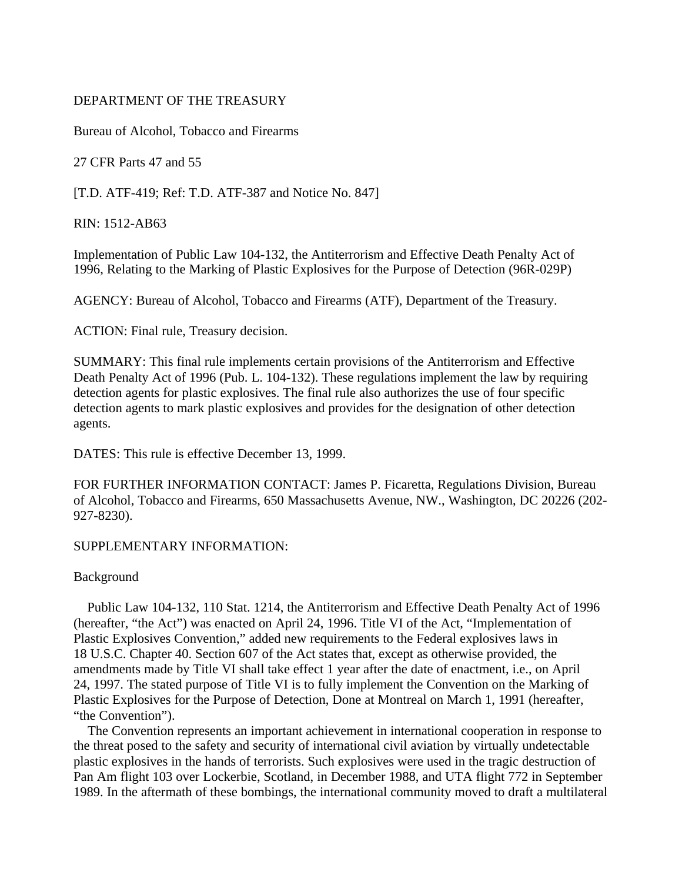# DEPARTMENT OF THE TREASURY

Bureau of Alcohol, Tobacco and Firearms

27 CFR Parts 47 and 55

[T.D. ATF-419; Ref: T.D. ATF-387 and Notice No. 847]

RIN: 1512-AB63

Implementation of Public Law 104-132, the Antiterrorism and Effective Death Penalty Act of 1996, Relating to the Marking of Plastic Explosives for the Purpose of Detection (96R-029P)

AGENCY: Bureau of Alcohol, Tobacco and Firearms (ATF), Department of the Treasury.

ACTION: Final rule, Treasury decision.

SUMMARY: This final rule implements certain provisions of the Antiterrorism and Effective Death Penalty Act of 1996 (Pub. L. 104-132). These regulations implement the law by requiring detection agents for plastic explosives. The final rule also authorizes the use of four specific detection agents to mark plastic explosives and provides for the designation of other detection agents.

DATES: This rule is effective December 13, 1999.

FOR FURTHER INFORMATION CONTACT: James P. Ficaretta, Regulations Division, Bureau of Alcohol, Tobacco and Firearms, 650 Massachusetts Avenue, NW., Washington, DC 20226 (202- 927-8230).

# SUPPLEMENTARY INFORMATION:

# Background

 Public Law 104-132, 110 Stat. 1214, the Antiterrorism and Effective Death Penalty Act of 1996 (hereafter, "the Act") was enacted on April 24, 1996. Title VI of the Act, "Implementation of Plastic Explosives Convention," added new requirements to the Federal explosives laws in 18 U.S.C. Chapter 40. Section 607 of the Act states that, except as otherwise provided, the amendments made by Title VI shall take effect 1 year after the date of enactment, i.e., on April 24, 1997. The stated purpose of Title VI is to fully implement the Convention on the Marking of Plastic Explosives for the Purpose of Detection, Done at Montreal on March 1, 1991 (hereafter, "the Convention").

 The Convention represents an important achievement in international cooperation in response to the threat posed to the safety and security of international civil aviation by virtually undetectable plastic explosives in the hands of terrorists. Such explosives were used in the tragic destruction of Pan Am flight 103 over Lockerbie, Scotland, in December 1988, and UTA flight 772 in September 1989. In the aftermath of these bombings, the international community moved to draft a multilateral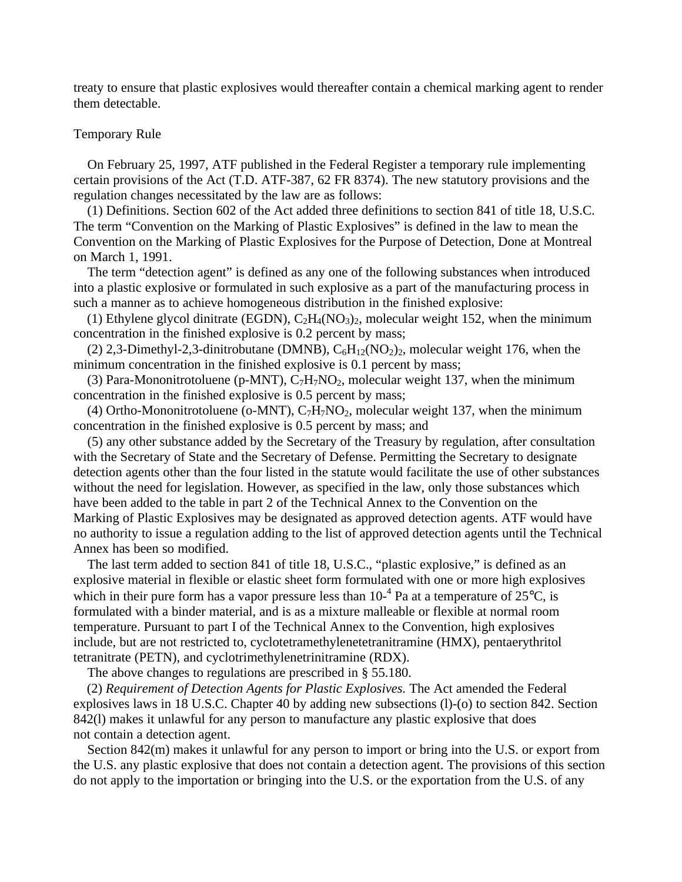treaty to ensure that plastic explosives would thereafter contain a chemical marking agent to render them detectable.

### Temporary Rule

 On February 25, 1997, ATF published in the Federal Register a temporary rule implementing certain provisions of the Act (T.D. ATF-387, 62 FR 8374). The new statutory provisions and the regulation changes necessitated by the law are as follows:

 (1) Definitions. Section 602 of the Act added three definitions to section 841 of title 18, U.S.C. The term "Convention on the Marking of Plastic Explosives" is defined in the law to mean the Convention on the Marking of Plastic Explosives for the Purpose of Detection, Done at Montreal on March 1, 1991.

 The term "detection agent" is defined as any one of the following substances when introduced into a plastic explosive or formulated in such explosive as a part of the manufacturing process in such a manner as to achieve homogeneous distribution in the finished explosive:

(1) Ethylene glycol dinitrate (EGDN),  $C_2H_4(NO_3)_2$ , molecular weight 152, when the minimum concentration in the finished explosive is 0.2 percent by mass;

(2) 2,3-Dimethyl-2,3-dinitrobutane (DMNB),  $C_6H_{12}(NO_2)_2$ , molecular weight 176, when the minimum concentration in the finished explosive is 0.1 percent by mass;

(3) Para-Mononitrotoluene (p-MNT),  $C_7H_7NO_2$ , molecular weight 137, when the minimum concentration in the finished explosive is 0.5 percent by mass;

(4) Ortho-Mononitrotoluene (o-MNT),  $C_7H_7NO_2$ , molecular weight 137, when the minimum concentration in the finished explosive is 0.5 percent by mass; and

 (5) any other substance added by the Secretary of the Treasury by regulation, after consultation with the Secretary of State and the Secretary of Defense. Permitting the Secretary to designate detection agents other than the four listed in the statute would facilitate the use of other substances without the need for legislation. However, as specified in the law, only those substances which have been added to the table in part 2 of the Technical Annex to the Convention on the Marking of Plastic Explosives may be designated as approved detection agents. ATF would have no authority to issue a regulation adding to the list of approved detection agents until the Technical Annex has been so modified.

 The last term added to section 841 of title 18, U.S.C., "plastic explosive," is defined as an explosive material in flexible or elastic sheet form formulated with one or more high explosives which in their pure form has a vapor pressure less than  $10^{-4}$  Pa at a temperature of  $25^{\circ}$ C, is formulated with a binder material, and is as a mixture malleable or flexible at normal room temperature. Pursuant to part I of the Technical Annex to the Convention, high explosives include, but are not restricted to, cyclotetramethylenetetranitramine (HMX), pentaerythritol tetranitrate (PETN), and cyclotrimethylenetrinitramine (RDX).

The above changes to regulations are prescribed in § 55.180.

 (2) *Requirement of Detection Agents for Plastic Explosives.* The Act amended the Federal explosives laws in 18 U.S.C. Chapter 40 by adding new subsections (l)-(o) to section 842. Section 842(l) makes it unlawful for any person to manufacture any plastic explosive that does not contain a detection agent.

Section 842(m) makes it unlawful for any person to import or bring into the U.S. or export from the U.S. any plastic explosive that does not contain a detection agent. The provisions of this section do not apply to the importation or bringing into the U.S. or the exportation from the U.S. of any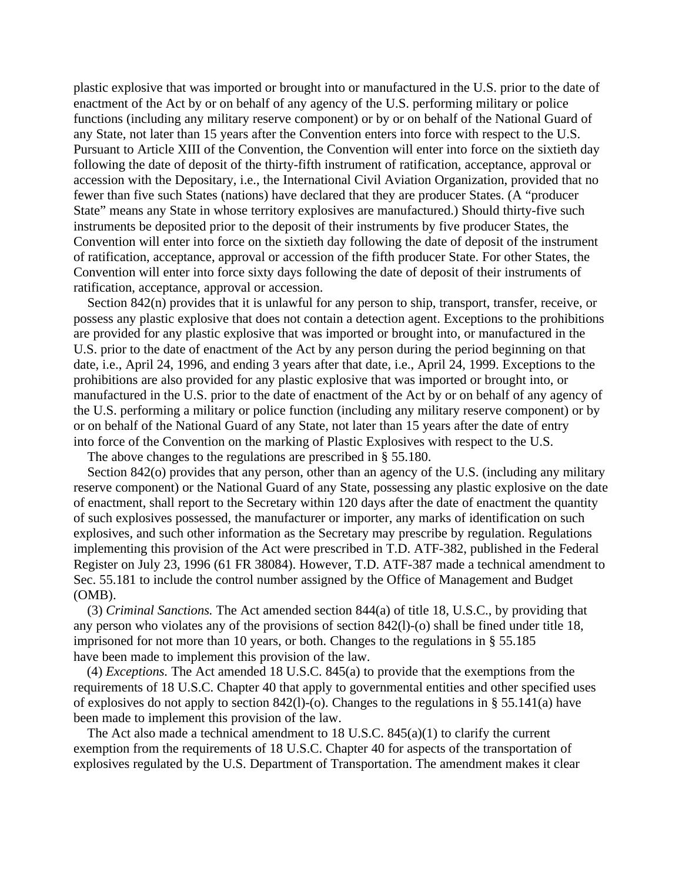plastic explosive that was imported or brought into or manufactured in the U.S. prior to the date of enactment of the Act by or on behalf of any agency of the U.S. performing military or police functions (including any military reserve component) or by or on behalf of the National Guard of any State, not later than 15 years after the Convention enters into force with respect to the U.S. Pursuant to Article XIII of the Convention, the Convention will enter into force on the sixtieth day following the date of deposit of the thirty-fifth instrument of ratification, acceptance, approval or accession with the Depositary, i.e., the International Civil Aviation Organization, provided that no fewer than five such States (nations) have declared that they are producer States. (A "producer State" means any State in whose territory explosives are manufactured.) Should thirty-five such instruments be deposited prior to the deposit of their instruments by five producer States, the Convention will enter into force on the sixtieth day following the date of deposit of the instrument of ratification, acceptance, approval or accession of the fifth producer State. For other States, the Convention will enter into force sixty days following the date of deposit of their instruments of ratification, acceptance, approval or accession.

Section 842(n) provides that it is unlawful for any person to ship, transport, transfer, receive, or possess any plastic explosive that does not contain a detection agent. Exceptions to the prohibitions are provided for any plastic explosive that was imported or brought into, or manufactured in the U.S. prior to the date of enactment of the Act by any person during the period beginning on that date, i.e., April 24, 1996, and ending 3 years after that date, i.e., April 24, 1999. Exceptions to the prohibitions are also provided for any plastic explosive that was imported or brought into, or manufactured in the U.S. prior to the date of enactment of the Act by or on behalf of any agency of the U.S. performing a military or police function (including any military reserve component) or by or on behalf of the National Guard of any State, not later than 15 years after the date of entry into force of the Convention on the marking of Plastic Explosives with respect to the U.S.

The above changes to the regulations are prescribed in § 55.180.

Section 842(o) provides that any person, other than an agency of the U.S. (including any military reserve component) or the National Guard of any State, possessing any plastic explosive on the date of enactment, shall report to the Secretary within 120 days after the date of enactment the quantity of such explosives possessed, the manufacturer or importer, any marks of identification on such explosives, and such other information as the Secretary may prescribe by regulation. Regulations implementing this provision of the Act were prescribed in T.D. ATF-382, published in the Federal Register on July 23, 1996 (61 FR 38084). However, T.D. ATF-387 made a technical amendment to Sec. 55.181 to include the control number assigned by the Office of Management and Budget (OMB).

 (3) *Criminal Sanctions.* The Act amended section 844(a) of title 18, U.S.C., by providing that any person who violates any of the provisions of section 842(l)-(o) shall be fined under title 18, imprisoned for not more than 10 years, or both. Changes to the regulations in § 55.185 have been made to implement this provision of the law.

 (4) *Exceptions.* The Act amended 18 U.S.C. 845(a) to provide that the exemptions from the requirements of 18 U.S.C. Chapter 40 that apply to governmental entities and other specified uses of explosives do not apply to section 842(l)-(o). Changes to the regulations in § 55.141(a) have been made to implement this provision of the law.

 The Act also made a technical amendment to 18 U.S.C. 845(a)(1) to clarify the current exemption from the requirements of 18 U.S.C. Chapter 40 for aspects of the transportation of explosives regulated by the U.S. Department of Transportation. The amendment makes it clear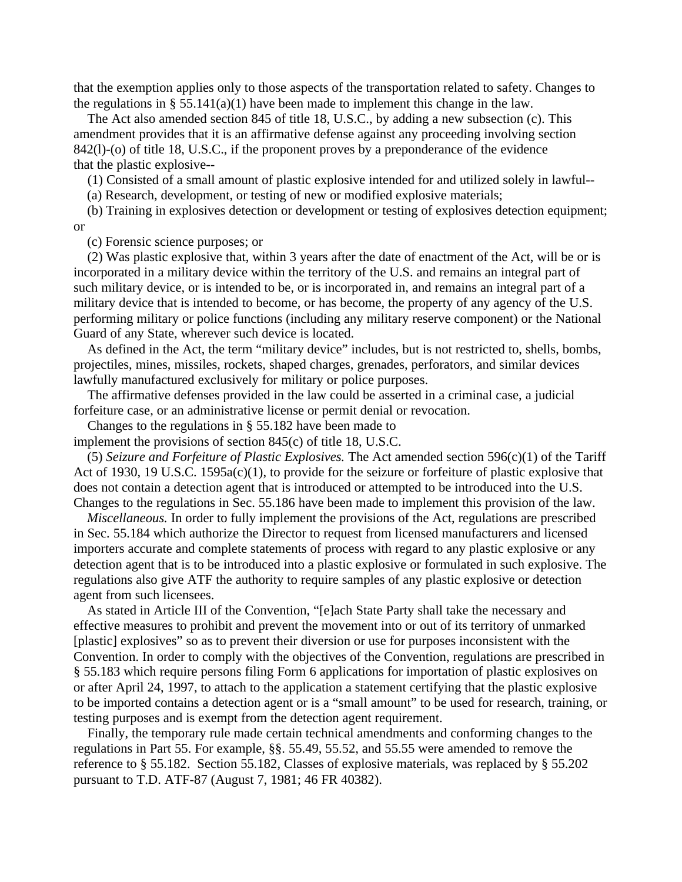that the exemption applies only to those aspects of the transportation related to safety. Changes to the regulations in § 55.141(a)(1) have been made to implement this change in the law.

 The Act also amended section 845 of title 18, U.S.C., by adding a new subsection (c). This amendment provides that it is an affirmative defense against any proceeding involving section 842(l)-(o) of title 18, U.S.C., if the proponent proves by a preponderance of the evidence that the plastic explosive--

(1) Consisted of a small amount of plastic explosive intended for and utilized solely in lawful--

(a) Research, development, or testing of new or modified explosive materials;

 (b) Training in explosives detection or development or testing of explosives detection equipment; or

(c) Forensic science purposes; or

 (2) Was plastic explosive that, within 3 years after the date of enactment of the Act, will be or is incorporated in a military device within the territory of the U.S. and remains an integral part of such military device, or is intended to be, or is incorporated in, and remains an integral part of a military device that is intended to become, or has become, the property of any agency of the U.S. performing military or police functions (including any military reserve component) or the National Guard of any State, wherever such device is located.

 As defined in the Act, the term "military device" includes, but is not restricted to, shells, bombs, projectiles, mines, missiles, rockets, shaped charges, grenades, perforators, and similar devices lawfully manufactured exclusively for military or police purposes.

 The affirmative defenses provided in the law could be asserted in a criminal case, a judicial forfeiture case, or an administrative license or permit denial or revocation.

Changes to the regulations in § 55.182 have been made to

implement the provisions of section 845(c) of title 18, U.S.C.

 (5) *Seizure and Forfeiture of Plastic Explosives.* The Act amended section 596(c)(1) of the Tariff Act of 1930, 19 U.S.C. 1595a(c)(1), to provide for the seizure or forfeiture of plastic explosive that does not contain a detection agent that is introduced or attempted to be introduced into the U.S. Changes to the regulations in Sec. 55.186 have been made to implement this provision of the law.

 *Miscellaneous.* In order to fully implement the provisions of the Act, regulations are prescribed in Sec. 55.184 which authorize the Director to request from licensed manufacturers and licensed importers accurate and complete statements of process with regard to any plastic explosive or any detection agent that is to be introduced into a plastic explosive or formulated in such explosive. The regulations also give ATF the authority to require samples of any plastic explosive or detection agent from such licensees.

 As stated in Article III of the Convention, "[e]ach State Party shall take the necessary and effective measures to prohibit and prevent the movement into or out of its territory of unmarked [plastic] explosives" so as to prevent their diversion or use for purposes inconsistent with the Convention. In order to comply with the objectives of the Convention, regulations are prescribed in § 55.183 which require persons filing Form 6 applications for importation of plastic explosives on or after April 24, 1997, to attach to the application a statement certifying that the plastic explosive to be imported contains a detection agent or is a "small amount" to be used for research, training, or testing purposes and is exempt from the detection agent requirement.

 Finally, the temporary rule made certain technical amendments and conforming changes to the regulations in Part 55. For example, §§. 55.49, 55.52, and 55.55 were amended to remove the reference to § 55.182. Section 55.182, Classes of explosive materials, was replaced by § 55.202 pursuant to T.D. ATF-87 (August 7, 1981; 46 FR 40382).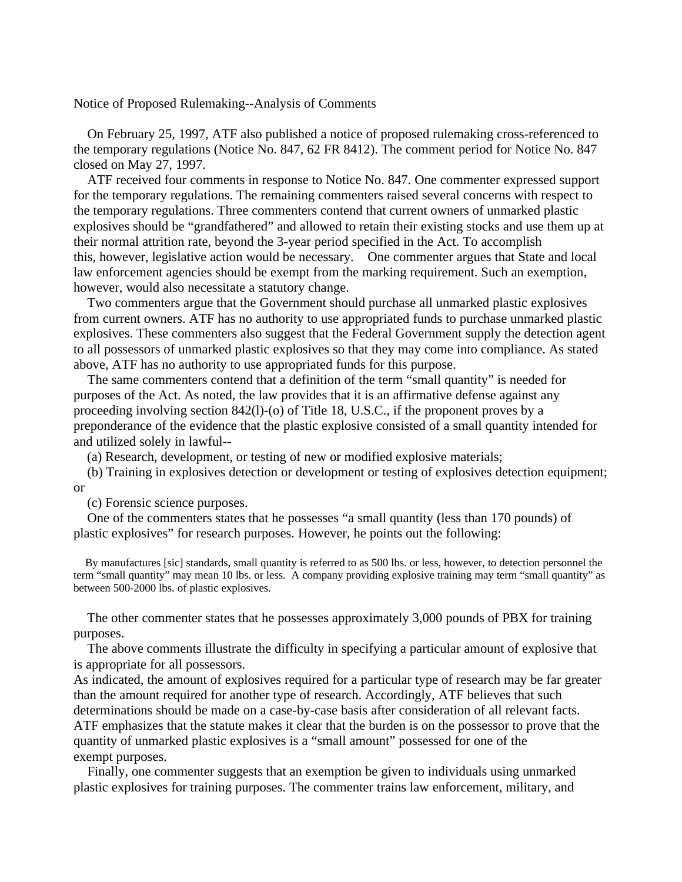#### Notice of Proposed Rulemaking--Analysis of Comments

 On February 25, 1997, ATF also published a notice of proposed rulemaking cross-referenced to the temporary regulations (Notice No. 847, 62 FR 8412). The comment period for Notice No. 847 closed on May 27, 1997.

 ATF received four comments in response to Notice No. 847. One commenter expressed support for the temporary regulations. The remaining commenters raised several concerns with respect to the temporary regulations. Three commenters contend that current owners of unmarked plastic explosives should be "grandfathered" and allowed to retain their existing stocks and use them up at their normal attrition rate, beyond the 3-year period specified in the Act. To accomplish this, however, legislative action would be necessary. One commenter argues that State and local law enforcement agencies should be exempt from the marking requirement. Such an exemption, however, would also necessitate a statutory change.

 Two commenters argue that the Government should purchase all unmarked plastic explosives from current owners. ATF has no authority to use appropriated funds to purchase unmarked plastic explosives. These commenters also suggest that the Federal Government supply the detection agent to all possessors of unmarked plastic explosives so that they may come into compliance. As stated above, ATF has no authority to use appropriated funds for this purpose.

 The same commenters contend that a definition of the term "small quantity" is needed for purposes of the Act. As noted, the law provides that it is an affirmative defense against any proceeding involving section 842(l)-(o) of Title 18, U.S.C., if the proponent proves by a preponderance of the evidence that the plastic explosive consisted of a small quantity intended for and utilized solely in lawful--

(a) Research, development, or testing of new or modified explosive materials;

 (b) Training in explosives detection or development or testing of explosives detection equipment; or

(c) Forensic science purposes.

 One of the commenters states that he possesses "a small quantity (less than 170 pounds) of plastic explosives" for research purposes. However, he points out the following:

 By manufactures [sic] standards, small quantity is referred to as 500 lbs. or less, however, to detection personnel the term "small quantity" may mean 10 lbs. or less. A company providing explosive training may term "small quantity" as between 500-2000 lbs. of plastic explosives.

 The other commenter states that he possesses approximately 3,000 pounds of PBX for training purposes.

 The above comments illustrate the difficulty in specifying a particular amount of explosive that is appropriate for all possessors.

As indicated, the amount of explosives required for a particular type of research may be far greater than the amount required for another type of research. Accordingly, ATF believes that such determinations should be made on a case-by-case basis after consideration of all relevant facts. ATF emphasizes that the statute makes it clear that the burden is on the possessor to prove that the quantity of unmarked plastic explosives is a "small amount" possessed for one of the exempt purposes.

 Finally, one commenter suggests that an exemption be given to individuals using unmarked plastic explosives for training purposes. The commenter trains law enforcement, military, and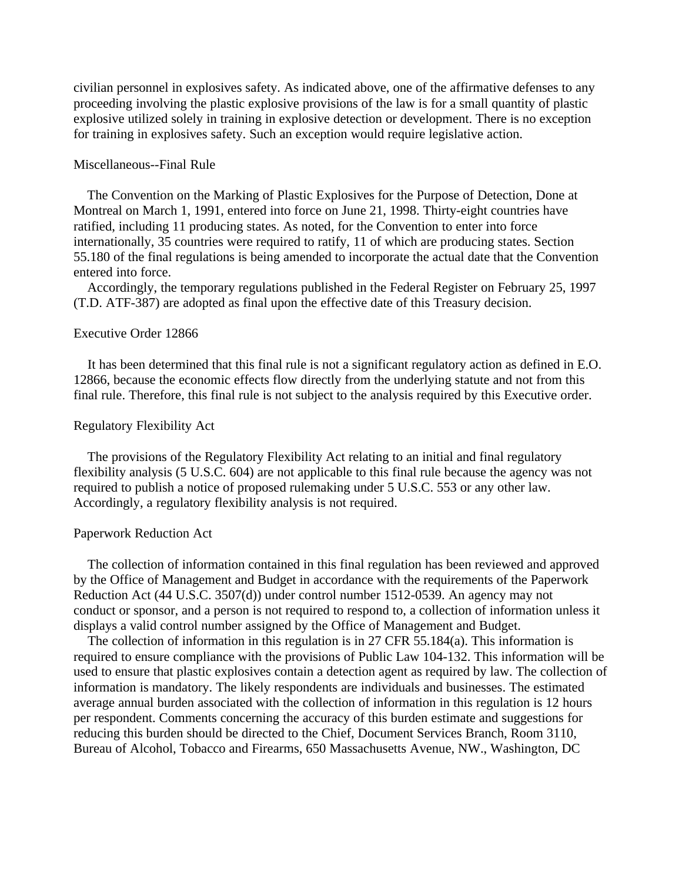civilian personnel in explosives safety. As indicated above, one of the affirmative defenses to any proceeding involving the plastic explosive provisions of the law is for a small quantity of plastic explosive utilized solely in training in explosive detection or development. There is no exception for training in explosives safety. Such an exception would require legislative action.

#### Miscellaneous--Final Rule

 The Convention on the Marking of Plastic Explosives for the Purpose of Detection, Done at Montreal on March 1, 1991, entered into force on June 21, 1998. Thirty-eight countries have ratified, including 11 producing states. As noted, for the Convention to enter into force internationally, 35 countries were required to ratify, 11 of which are producing states. Section 55.180 of the final regulations is being amended to incorporate the actual date that the Convention entered into force.

 Accordingly, the temporary regulations published in the Federal Register on February 25, 1997 (T.D. ATF-387) are adopted as final upon the effective date of this Treasury decision.

#### Executive Order 12866

 It has been determined that this final rule is not a significant regulatory action as defined in E.O. 12866, because the economic effects flow directly from the underlying statute and not from this final rule. Therefore, this final rule is not subject to the analysis required by this Executive order.

### Regulatory Flexibility Act

 The provisions of the Regulatory Flexibility Act relating to an initial and final regulatory flexibility analysis (5 U.S.C. 604) are not applicable to this final rule because the agency was not required to publish a notice of proposed rulemaking under 5 U.S.C. 553 or any other law. Accordingly, a regulatory flexibility analysis is not required.

#### Paperwork Reduction Act

 The collection of information contained in this final regulation has been reviewed and approved by the Office of Management and Budget in accordance with the requirements of the Paperwork Reduction Act (44 U.S.C. 3507(d)) under control number 1512-0539. An agency may not conduct or sponsor, and a person is not required to respond to, a collection of information unless it displays a valid control number assigned by the Office of Management and Budget.

 The collection of information in this regulation is in 27 CFR 55.184(a). This information is required to ensure compliance with the provisions of Public Law 104-132. This information will be used to ensure that plastic explosives contain a detection agent as required by law. The collection of information is mandatory. The likely respondents are individuals and businesses. The estimated average annual burden associated with the collection of information in this regulation is 12 hours per respondent. Comments concerning the accuracy of this burden estimate and suggestions for reducing this burden should be directed to the Chief, Document Services Branch, Room 3110, Bureau of Alcohol, Tobacco and Firearms, 650 Massachusetts Avenue, NW., Washington, DC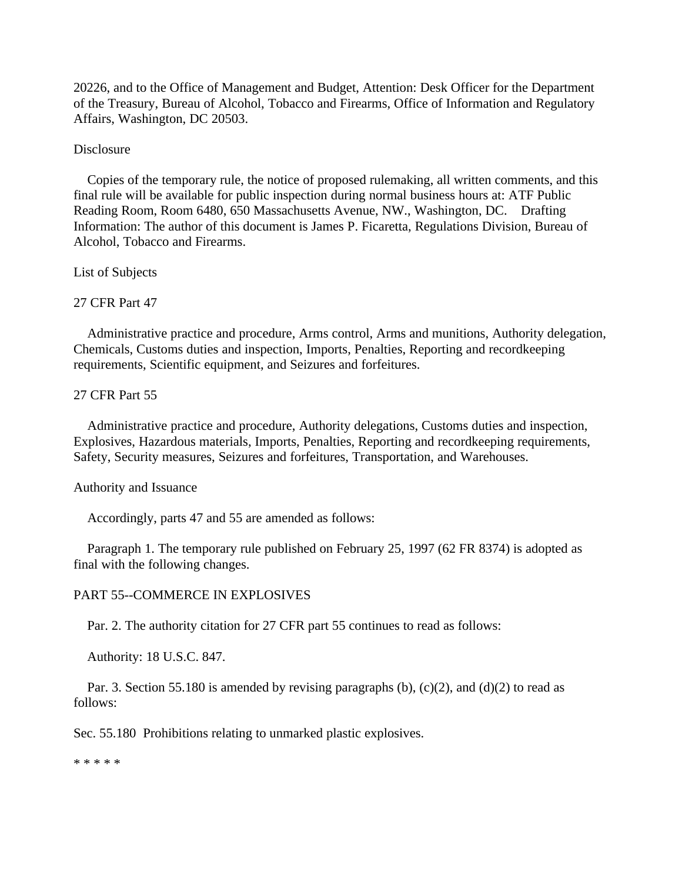20226, and to the Office of Management and Budget, Attention: Desk Officer for the Department of the Treasury, Bureau of Alcohol, Tobacco and Firearms, Office of Information and Regulatory Affairs, Washington, DC 20503.

# **Disclosure**

 Copies of the temporary rule, the notice of proposed rulemaking, all written comments, and this final rule will be available for public inspection during normal business hours at: ATF Public Reading Room, Room 6480, 650 Massachusetts Avenue, NW., Washington, DC. Drafting Information: The author of this document is James P. Ficaretta, Regulations Division, Bureau of Alcohol, Tobacco and Firearms.

List of Subjects

# 27 CFR Part 47

 Administrative practice and procedure, Arms control, Arms and munitions, Authority delegation, Chemicals, Customs duties and inspection, Imports, Penalties, Reporting and recordkeeping requirements, Scientific equipment, and Seizures and forfeitures.

### 27 CFR Part 55

 Administrative practice and procedure, Authority delegations, Customs duties and inspection, Explosives, Hazardous materials, Imports, Penalties, Reporting and recordkeeping requirements, Safety, Security measures, Seizures and forfeitures, Transportation, and Warehouses.

### Authority and Issuance

Accordingly, parts 47 and 55 are amended as follows:

 Paragraph 1. The temporary rule published on February 25, 1997 (62 FR 8374) is adopted as final with the following changes.

# PART 55--COMMERCE IN EXPLOSIVES

Par. 2. The authority citation for 27 CFR part 55 continues to read as follows:

Authority: 18 U.S.C. 847.

Par. 3. Section 55.180 is amended by revising paragraphs (b),  $(c)(2)$ , and  $(d)(2)$  to read as follows:

Sec. 55.180 Prohibitions relating to unmarked plastic explosives.

\* \* \* \* \*